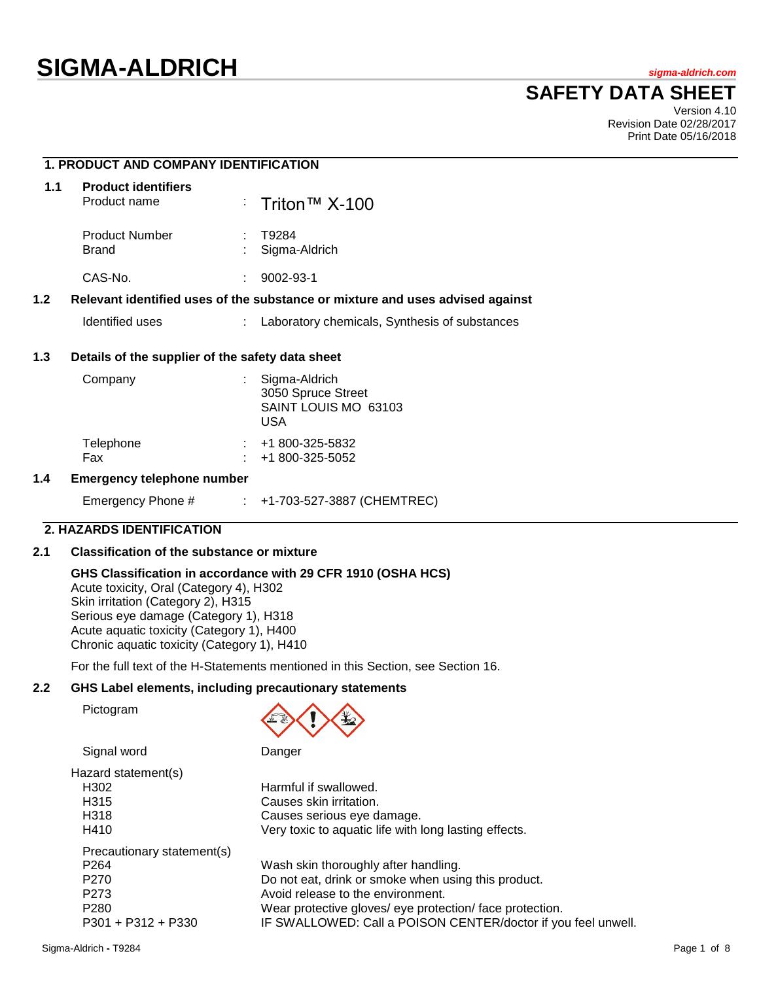# **SIGMA-ALDRICH** *sigma-aldrich.com*

## **SAFETY DATA SHEET**

Version 4.10 Revision Date 02/28/2017 Print Date 05/16/2018

## **1. PRODUCT AND COMPANY IDENTIFICATION 1.1 Product identifiers** Product name : Triton™ X-100 Product Number : T9284 Brand : Sigma-Aldrich CAS-No. : 9002-93-1 **1.2 Relevant identified uses of the substance or mixture and uses advised against** Identified uses : Laboratory chemicals, Synthesis of substances **1.3 Details of the supplier of the safety data sheet** Company : Sigma-Aldrich 3050 Spruce Street SAINT LOUIS MO 63103 USA Telephone : +1 800-325-5832 Fax : +1 800-325-5052 **1.4 Emergency telephone number**

## Emergency Phone # : +1-703-527-3887 (CHEMTREC)

#### **2. HAZARDS IDENTIFICATION**

## **2.1 Classification of the substance or mixture**

#### **GHS Classification in accordance with 29 CFR 1910 (OSHA HCS)**

Acute toxicity, Oral (Category 4), H302 Skin irritation (Category 2), H315 Serious eye damage (Category 1), H318 Acute aquatic toxicity (Category 1), H400 Chronic aquatic toxicity (Category 1), H410

For the full text of the H-Statements mentioned in this Section, see Section 16.

## **2.2 GHS Label elements, including precautionary statements**

Pictogram



Signal word Danger

| Harmful if swallowed.                                         |
|---------------------------------------------------------------|
| Causes skin irritation.                                       |
| Causes serious eye damage.                                    |
| Very toxic to aquatic life with long lasting effects.         |
|                                                               |
| Wash skin thoroughly after handling.                          |
| Do not eat, drink or smoke when using this product.           |
| Avoid release to the environment.                             |
| Wear protective gloves/ eye protection/ face protection.      |
| IF SWALLOWED: Call a POISON CENTER/doctor if you feel unwell. |
|                                                               |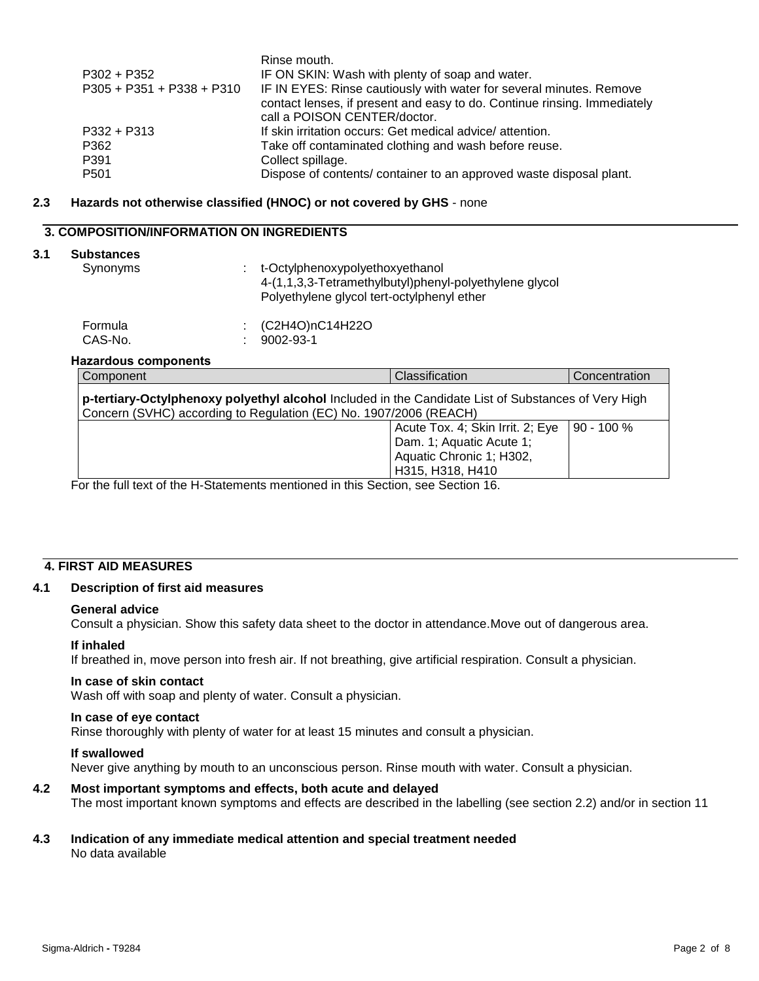|                           | Rinse mouth.                                                             |
|---------------------------|--------------------------------------------------------------------------|
| P302 + P352               | IF ON SKIN: Wash with plenty of soap and water.                          |
| P305 + P351 + P338 + P310 | IF IN EYES: Rinse cautiously with water for several minutes. Remove      |
|                           | contact lenses, if present and easy to do. Continue rinsing. Immediately |
|                           | call a POISON CENTER/doctor.                                             |
| P332 + P313               | If skin irritation occurs: Get medical advice/attention.                 |
| P362                      | Take off contaminated clothing and wash before reuse.                    |
| P391                      | Collect spillage.                                                        |
| P501                      | Dispose of contents/ container to an approved waste disposal plant.      |
|                           |                                                                          |

#### **2.3 Hazards not otherwise classified (HNOC) or not covered by GHS** - none

## **3. COMPOSITION/INFORMATION ON INGREDIENTS**

## **3.1 Substances**

| ounaluuu<br>Synonyms | : t-Octylphenoxypolyethoxyethanol<br>4-(1,1,3,3-Tetramethylbutyl)phenyl-polyethylene glycol<br>Polyethylene glycol tert-octylphenyl ether |
|----------------------|-------------------------------------------------------------------------------------------------------------------------------------------|
|                      |                                                                                                                                           |

| Formula | $\therefore$ (C2H4O)nC14H22O |
|---------|------------------------------|
| CAS-No. | $: 9002 - 93 - 1$            |

## **Hazardous components**

| Component                                                                                                                                                                | Classification                   | Concentration |  |
|--------------------------------------------------------------------------------------------------------------------------------------------------------------------------|----------------------------------|---------------|--|
| p-tertiary-Octylphenoxy polyethyl alcohol Included in the Candidate List of Substances of Very High<br>Concern (SVHC) according to Regulation (EC) No. 1907/2006 (REACH) |                                  |               |  |
|                                                                                                                                                                          | Acute Tox. 4; Skin Irrit. 2; Eye | $90 - 100 \%$ |  |
|                                                                                                                                                                          | Dam. 1; Aquatic Acute 1;         |               |  |
|                                                                                                                                                                          | Aquatic Chronic 1; H302,         |               |  |
|                                                                                                                                                                          | H315, H318, H410                 |               |  |

For the full text of the H-Statements mentioned in this Section, see Section 16.

## **4. FIRST AID MEASURES**

## **4.1 Description of first aid measures**

#### **General advice**

Consult a physician. Show this safety data sheet to the doctor in attendance.Move out of dangerous area.

#### **If inhaled**

If breathed in, move person into fresh air. If not breathing, give artificial respiration. Consult a physician.

#### **In case of skin contact**

Wash off with soap and plenty of water. Consult a physician.

#### **In case of eye contact**

Rinse thoroughly with plenty of water for at least 15 minutes and consult a physician.

#### **If swallowed**

Never give anything by mouth to an unconscious person. Rinse mouth with water. Consult a physician.

#### **4.2 Most important symptoms and effects, both acute and delayed**

The most important known symptoms and effects are described in the labelling (see section 2.2) and/or in section 11

#### **4.3 Indication of any immediate medical attention and special treatment needed** No data available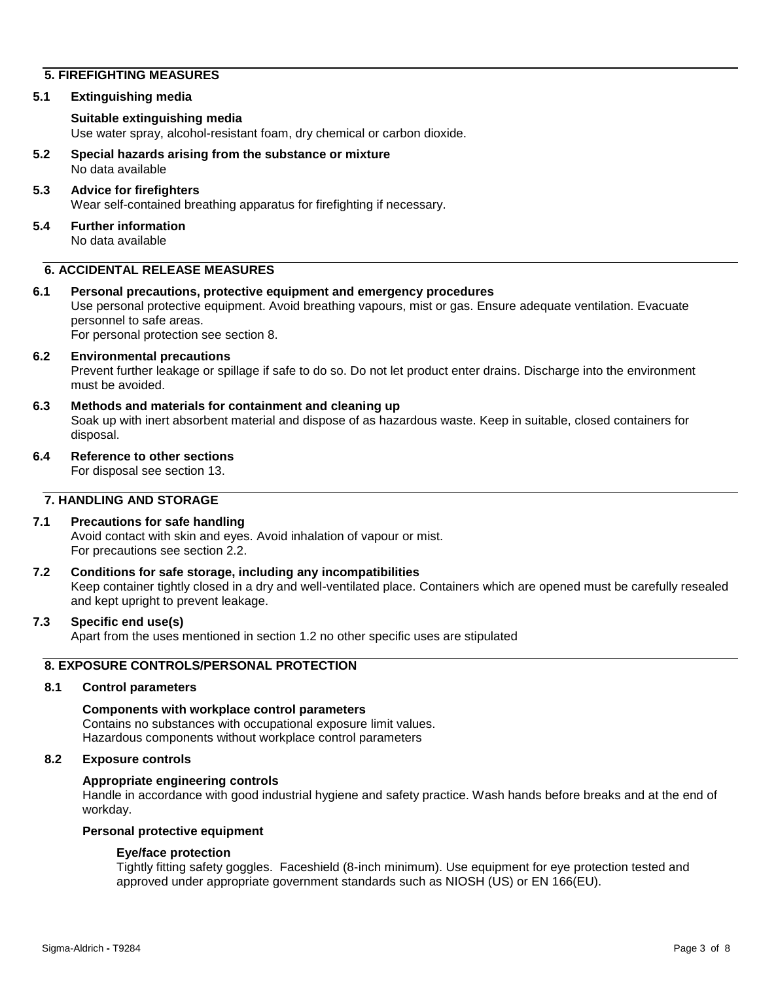## **5. FIREFIGHTING MEASURES**

#### **5.1 Extinguishing media**

### **Suitable extinguishing media**

Use water spray, alcohol-resistant foam, dry chemical or carbon dioxide.

#### **5.2 Special hazards arising from the substance or mixture** No data available

## **5.3 Advice for firefighters** Wear self-contained breathing apparatus for firefighting if necessary.

**5.4 Further information** No data available

## **6. ACCIDENTAL RELEASE MEASURES**

#### **6.1 Personal precautions, protective equipment and emergency procedures**

Use personal protective equipment. Avoid breathing vapours, mist or gas. Ensure adequate ventilation. Evacuate personnel to safe areas.

For personal protection see section 8.

#### **6.2 Environmental precautions**

Prevent further leakage or spillage if safe to do so. Do not let product enter drains. Discharge into the environment must be avoided.

**6.3 Methods and materials for containment and cleaning up**

Soak up with inert absorbent material and dispose of as hazardous waste. Keep in suitable, closed containers for disposal.

**6.4 Reference to other sections**

For disposal see section 13.

## **7. HANDLING AND STORAGE**

### **7.1 Precautions for safe handling**

Avoid contact with skin and eyes. Avoid inhalation of vapour or mist. For precautions see section 2.2.

#### **7.2 Conditions for safe storage, including any incompatibilities**

Keep container tightly closed in a dry and well-ventilated place. Containers which are opened must be carefully resealed and kept upright to prevent leakage.

## **7.3 Specific end use(s)**

Apart from the uses mentioned in section 1.2 no other specific uses are stipulated

## **8. EXPOSURE CONTROLS/PERSONAL PROTECTION**

#### **8.1 Control parameters**

#### **Components with workplace control parameters** Contains no substances with occupational exposure limit values.

Hazardous components without workplace control parameters

#### **8.2 Exposure controls**

#### **Appropriate engineering controls**

Handle in accordance with good industrial hygiene and safety practice. Wash hands before breaks and at the end of workday.

## **Personal protective equipment**

#### **Eye/face protection**

Tightly fitting safety goggles. Faceshield (8-inch minimum). Use equipment for eye protection tested and approved under appropriate government standards such as NIOSH (US) or EN 166(EU).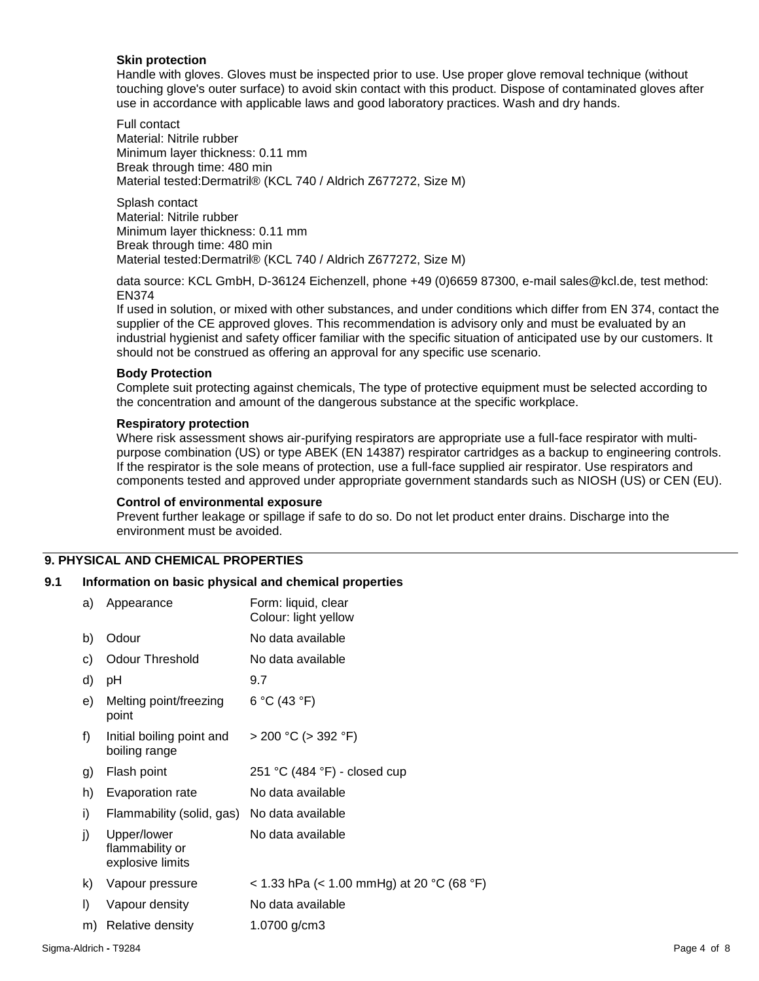#### **Skin protection**

Handle with gloves. Gloves must be inspected prior to use. Use proper glove removal technique (without touching glove's outer surface) to avoid skin contact with this product. Dispose of contaminated gloves after use in accordance with applicable laws and good laboratory practices. Wash and dry hands.

Full contact Material: Nitrile rubber Minimum layer thickness: 0.11 mm Break through time: 480 min Material tested:Dermatril® (KCL 740 / Aldrich Z677272, Size M)

Splash contact Material: Nitrile rubber Minimum layer thickness: 0.11 mm Break through time: 480 min Material tested:Dermatril® (KCL 740 / Aldrich Z677272, Size M)

data source: KCL GmbH, D-36124 Eichenzell, phone +49 (0)6659 87300, e-mail sales@kcl.de, test method: EN374

If used in solution, or mixed with other substances, and under conditions which differ from EN 374, contact the supplier of the CE approved gloves. This recommendation is advisory only and must be evaluated by an industrial hygienist and safety officer familiar with the specific situation of anticipated use by our customers. It should not be construed as offering an approval for any specific use scenario.

#### **Body Protection**

Complete suit protecting against chemicals, The type of protective equipment must be selected according to the concentration and amount of the dangerous substance at the specific workplace.

#### **Respiratory protection**

Where risk assessment shows air-purifying respirators are appropriate use a full-face respirator with multipurpose combination (US) or type ABEK (EN 14387) respirator cartridges as a backup to engineering controls. If the respirator is the sole means of protection, use a full-face supplied air respirator. Use respirators and components tested and approved under appropriate government standards such as NIOSH (US) or CEN (EU).

#### **Control of environmental exposure**

Prevent further leakage or spillage if safe to do so. Do not let product enter drains. Discharge into the environment must be avoided.

## **9. PHYSICAL AND CHEMICAL PROPERTIES**

#### **9.1 Information on basic physical and chemical properties**

| a) | Appearance                                         | Form: liquid, clear<br>Colour: light yellow |
|----|----------------------------------------------------|---------------------------------------------|
| b) | Odour                                              | No data available                           |
| c) | <b>Odour Threshold</b>                             | No data available                           |
| d) | рH                                                 | 9.7                                         |
| e) | Melting point/freezing<br>point                    | 6 °C (43 °F)                                |
| f) | Initial boiling point and<br>boiling range         | $>$ 200 °C ( $>$ 392 °F)                    |
| g) | Flash point                                        | 251 °C (484 °F) - closed cup                |
| h) | Evaporation rate                                   | No data available                           |
| i) | Flammability (solid, gas)                          | No data available                           |
| j) | Upper/lower<br>flammability or<br>explosive limits | No data available                           |
| k) | Vapour pressure                                    | < 1.33 hPa (< 1.00 mmHg) at 20 °C (68 °F)   |
| I) | Vapour density                                     | No data available                           |
| m) | Relative density                                   | 1.0700 g/cm3                                |
|    |                                                    |                                             |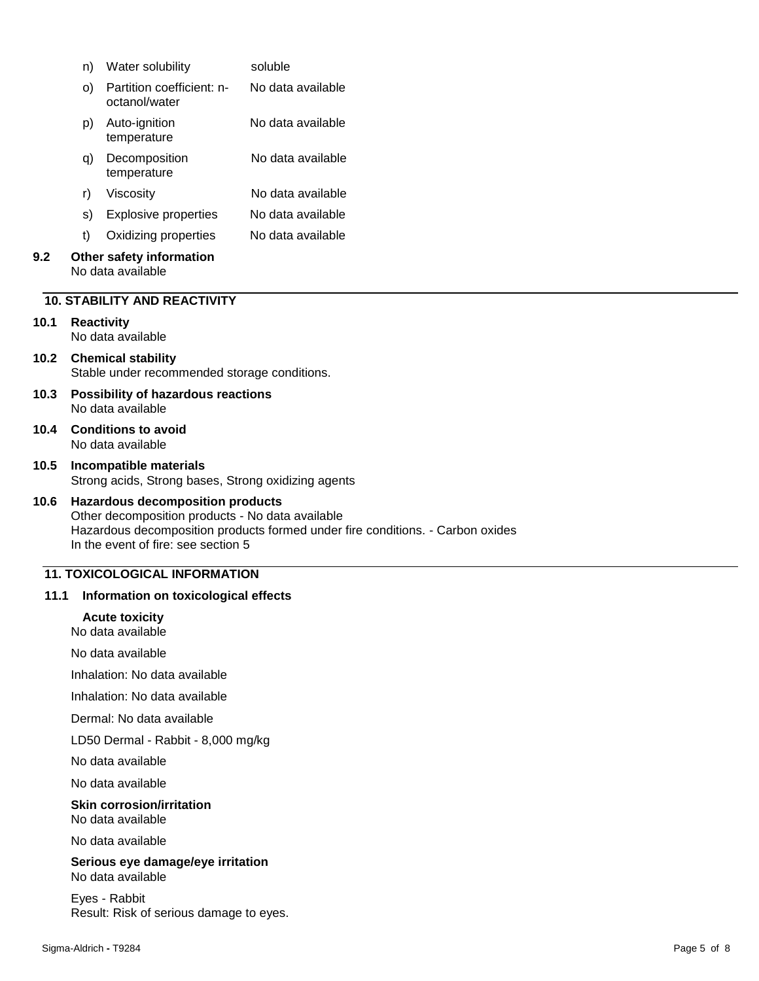|      | n)                                                             | Water solubility                                                                                                                   | soluble                                                                        |
|------|----------------------------------------------------------------|------------------------------------------------------------------------------------------------------------------------------------|--------------------------------------------------------------------------------|
|      | O)                                                             | Partition coefficient: n-<br>octanol/water                                                                                         | No data available                                                              |
|      | p)                                                             | Auto-ignition<br>temperature                                                                                                       | No data available                                                              |
|      | q)                                                             | Decomposition<br>temperature                                                                                                       | No data available                                                              |
|      | r)                                                             | Viscosity                                                                                                                          | No data available                                                              |
|      | s)                                                             | <b>Explosive properties</b>                                                                                                        | No data available                                                              |
|      | t)                                                             | Oxidizing properties                                                                                                               | No data available                                                              |
| 9.2  |                                                                | Other safety information<br>No data available                                                                                      |                                                                                |
|      |                                                                | <b>10. STABILITY AND REACTIVITY</b>                                                                                                |                                                                                |
| 10.1 |                                                                | <b>Reactivity</b><br>No data available                                                                                             |                                                                                |
| 10.2 |                                                                | <b>Chemical stability</b><br>Stable under recommended storage conditions.                                                          |                                                                                |
| 10.3 | <b>Possibility of hazardous reactions</b><br>No data available |                                                                                                                                    |                                                                                |
| 10.4 |                                                                | <b>Conditions to avoid</b><br>No data available                                                                                    |                                                                                |
| 10.5 |                                                                | Incompatible materials<br>Strong acids, Strong bases, Strong oxidizing agents                                                      |                                                                                |
| 10.6 |                                                                | <b>Hazardous decomposition products</b><br>Other decomposition products - No data available<br>In the event of fire: see section 5 | Hazardous decomposition products formed under fire conditions. - Carbon oxides |

## **11. TOXICOLOGICAL INFORMATION**

#### **11.1 Information on toxicological effects**

#### **Acute toxicity**

No data available

No data available

Inhalation: No data available

Inhalation: No data available

Dermal: No data available

LD50 Dermal - Rabbit - 8,000 mg/kg

No data available

No data available

**Skin corrosion/irritation** No data available

No data available

**Serious eye damage/eye irritation** No data available

Eyes - Rabbit Result: Risk of serious damage to eyes.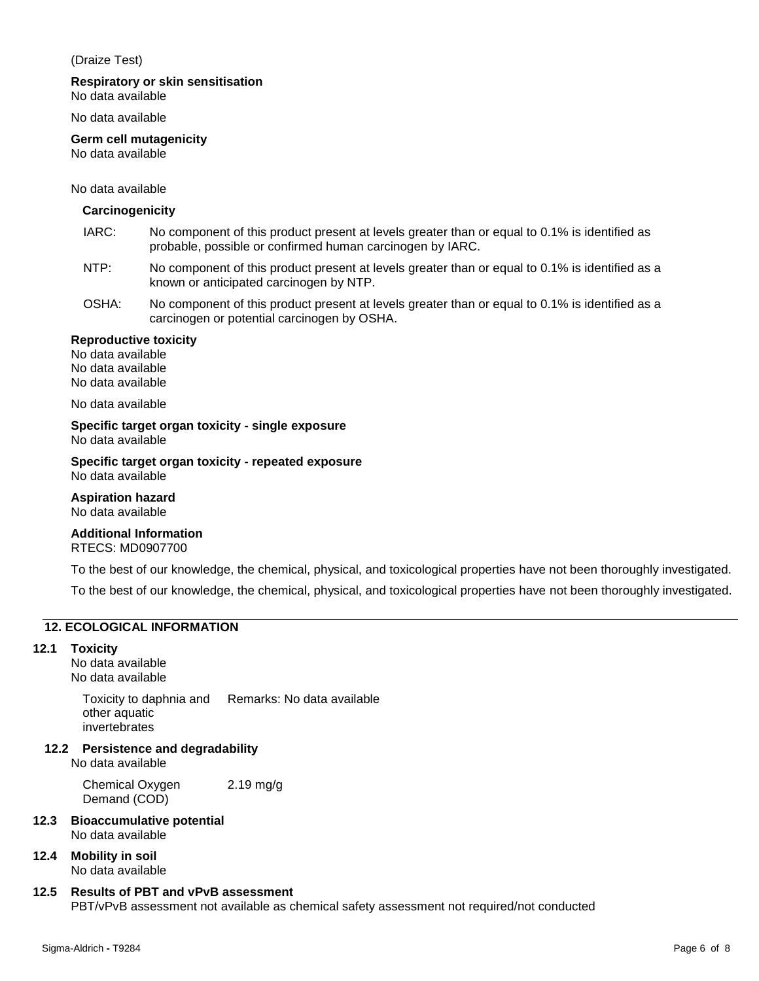#### (Draize Test)

#### **Respiratory or skin sensitisation**

No data available

No data available

## **Germ cell mutagenicity**

No data available

#### No data available

#### **Carcinogenicity**

- IARC: No component of this product present at levels greater than or equal to 0.1% is identified as probable, possible or confirmed human carcinogen by IARC.
- NTP: No component of this product present at levels greater than or equal to 0.1% is identified as a known or anticipated carcinogen by NTP.
- OSHA: No component of this product present at levels greater than or equal to 0.1% is identified as a carcinogen or potential carcinogen by OSHA.

#### **Reproductive toxicity**

No data available No data available No data available

No data available

**Specific target organ toxicity - single exposure** No data available

**Specific target organ toxicity - repeated exposure** No data available

**Aspiration hazard** No data available

## **Additional Information**

RTECS: MD0907700

To the best of our knowledge, the chemical, physical, and toxicological properties have not been thoroughly investigated.

To the best of our knowledge, the chemical, physical, and toxicological properties have not been thoroughly investigated.

## **12. ECOLOGICAL INFORMATION**

#### **12.1 Toxicity**

No data available No data available

> Toxicity to daphnia and other aquatic invertebrates Remarks: No data available

**12.2 Persistence and degradability**

No data available

Chemical Oxygen Demand (COD) 2.19 mg/g

- **12.3 Bioaccumulative potential** No data available
- **12.4 Mobility in soil** No data available

## **12.5 Results of PBT and vPvB assessment**

PBT/vPvB assessment not available as chemical safety assessment not required/not conducted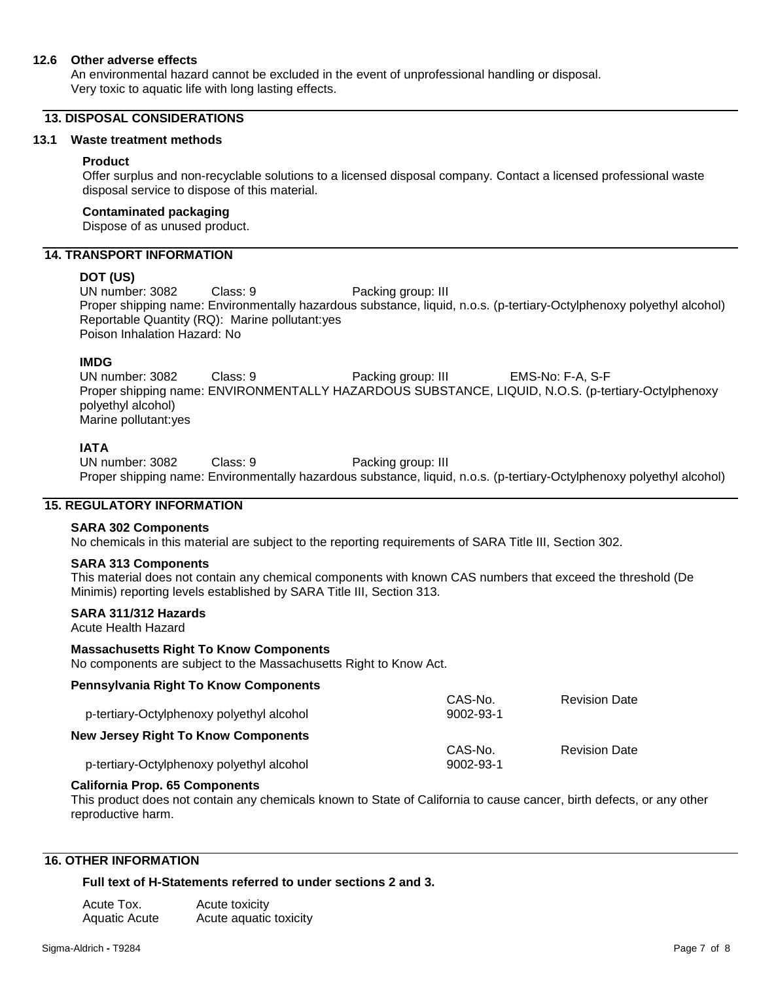#### **12.6 Other adverse effects**

An environmental hazard cannot be excluded in the event of unprofessional handling or disposal. Very toxic to aquatic life with long lasting effects.

#### **13. DISPOSAL CONSIDERATIONS**

#### **13.1 Waste treatment methods**

#### **Product**

Offer surplus and non-recyclable solutions to a licensed disposal company. Contact a licensed professional waste disposal service to dispose of this material.

#### **Contaminated packaging**

Dispose of as unused product.

## **14. TRANSPORT INFORMATION**

#### **DOT (US)**

UN number: 3082 Class: 9 Packing group: III Proper shipping name: Environmentally hazardous substance, liquid, n.o.s. (p-tertiary-Octylphenoxy polyethyl alcohol) Reportable Quantity (RQ): Marine pollutant:yes Poison Inhalation Hazard: No

#### **IMDG**

UN number: 3082 Class: 9 Packing group: III EMS-No: F-A, S-F Proper shipping name: ENVIRONMENTALLY HAZARDOUS SUBSTANCE, LIQUID, N.O.S. (p-tertiary-Octylphenoxy polyethyl alcohol) Marine pollutant:yes

#### **IATA**

UN number: 3082 Class: 9 Packing group: III Proper shipping name: Environmentally hazardous substance, liquid, n.o.s. (p-tertiary-Octylphenoxy polyethyl alcohol)

#### **15. REGULATORY INFORMATION**

#### **SARA 302 Components**

No chemicals in this material are subject to the reporting requirements of SARA Title III, Section 302.

#### **SARA 313 Components**

This material does not contain any chemical components with known CAS numbers that exceed the threshold (De Minimis) reporting levels established by SARA Title III, Section 313.

## **SARA 311/312 Hazards**

Acute Health Hazard

#### **Massachusetts Right To Know Components**

No components are subject to the Massachusetts Right to Know Act.

#### **Pennsylvania Right To Know Components** p-tertiary-Octylphenoxy polyethyl alcohol CAS-No. 9002-93-1 Revision Date **New Jersey Right To Know Components** p-tertiary-Octylphenoxy polyethyl alcohol CAS-No. 9002-93-1 Revision Date

#### **California Prop. 65 Components**

This product does not contain any chemicals known to State of California to cause cancer, birth defects, or any other reproductive harm.

### **16. OTHER INFORMATION**

#### **Full text of H-Statements referred to under sections 2 and 3.**

| Acute Tox.    | Acute toxicity         |
|---------------|------------------------|
| Aquatic Acute | Acute aquatic toxicity |